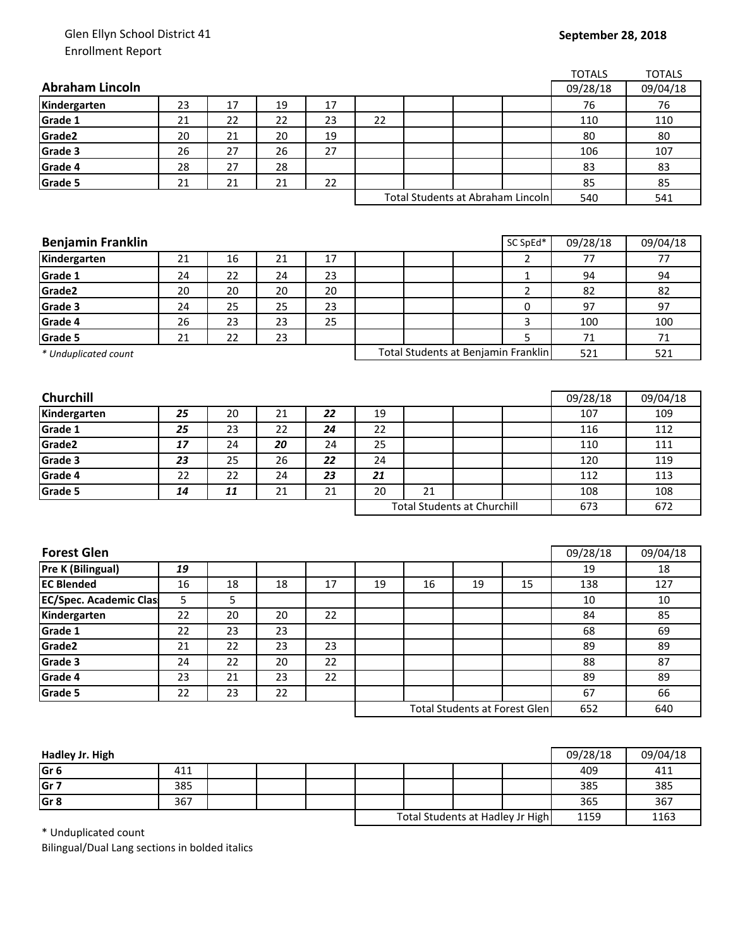## Glen Ellyn School District 41 Enrollment Report

## **September 28, 2018**

|                               |                                     |    |    |    |    |    |                                    |                                      | <b>TOTALS</b>    | <b>TOTALS</b> |
|-------------------------------|-------------------------------------|----|----|----|----|----|------------------------------------|--------------------------------------|------------------|---------------|
| <b>Abraham Lincoln</b>        |                                     |    |    |    |    |    |                                    |                                      | 09/28/18         | 09/04/18      |
| Kindergarten                  | 23                                  | 17 | 19 | 17 |    |    |                                    |                                      | 76               | 76            |
| Grade 1                       | 21                                  | 22 | 22 | 23 | 22 |    |                                    |                                      | 110              | 110           |
| Grade2                        | 20                                  | 21 | 20 | 19 |    |    |                                    |                                      | 80               | 80            |
| Grade 3                       | 26                                  | 27 | 26 | 27 |    |    |                                    |                                      | 106              | 107           |
| Grade 4                       | 28                                  | 27 | 28 |    |    |    |                                    |                                      | 83               | 83            |
| Grade 5                       | 21                                  | 21 | 21 | 22 |    |    |                                    |                                      | 85               | 85            |
|                               |                                     |    |    |    |    |    |                                    | Total Students at Abraham Lincoln    | 540              | 541           |
|                               |                                     |    |    |    |    |    |                                    |                                      |                  |               |
|                               |                                     |    |    |    |    |    |                                    |                                      |                  |               |
| <b>Benjamin Franklin</b>      |                                     |    |    |    |    |    |                                    | SC SpEd*                             | 09/28/18         | 09/04/18      |
| Kindergarten                  | 21                                  | 16 | 21 | 17 |    |    |                                    | $\overline{2}$                       | 77               | 77            |
| Grade 1                       | 24                                  | 22 | 24 | 23 |    |    |                                    | 1                                    | 94               | 94            |
| Grade2                        | 20                                  | 20 | 20 | 20 |    |    |                                    | $\overline{2}$                       | 82               | 82            |
| Grade 3                       | 24                                  | 25 | 25 | 23 |    |    |                                    | 0                                    | 97               | 97            |
| Grade 4                       | 26                                  | 23 | 23 | 25 |    |    |                                    | 3                                    | 100              | 100           |
| Grade 5                       | 21                                  | 22 | 23 |    |    |    |                                    | 5                                    | 71               | 71            |
| * Unduplicated count          | Total Students at Benjamin Franklin |    |    |    |    |    | 521                                | 521                                  |                  |               |
|                               |                                     |    |    |    |    |    |                                    |                                      |                  |               |
|                               |                                     |    |    |    |    |    |                                    |                                      |                  |               |
| Churchill                     |                                     |    |    |    |    |    |                                    |                                      | 09/28/18         | 09/04/18      |
| Kindergarten                  | 25                                  | 20 | 21 | 22 | 19 |    |                                    |                                      | $10\overline{7}$ | 109           |
| Grade 1                       | 25                                  | 23 | 22 | 24 | 22 |    |                                    |                                      | 116              | 112           |
| Grade2                        | 17                                  | 24 | 20 | 24 | 25 |    |                                    |                                      | 110              | 111           |
| Grade 3                       | 23                                  | 25 | 26 | 22 | 24 |    |                                    |                                      | 120              | 119           |
| Grade 4                       | 22                                  | 22 | 24 | 23 | 21 |    |                                    |                                      | 112              | 113           |
| Grade 5                       | 14                                  | 11 | 21 | 21 | 20 | 21 |                                    |                                      | 108              | 108           |
|                               |                                     |    |    |    |    |    | <b>Total Students at Churchill</b> |                                      | 673              | 672           |
|                               |                                     |    |    |    |    |    |                                    |                                      |                  |               |
|                               |                                     |    |    |    |    |    |                                    |                                      |                  |               |
| <b>Forest Glen</b>            |                                     |    |    |    |    |    |                                    |                                      | 09/28/18         | 09/04/18      |
| Pre K (Bilingual)             | 19                                  |    |    |    |    |    |                                    |                                      | 19               | 18            |
| <b>EC Blended</b>             | 16                                  | 18 | 18 | 17 | 19 | 16 | 19                                 | 15                                   | 138              | 127           |
| <b>EC/Spec. Academic Clas</b> | 5                                   | 5  |    |    |    |    |                                    |                                      | 10               | 10            |
| Kindergarten                  | 22                                  | 20 | 20 | 22 |    |    |                                    |                                      | 84               | 85            |
| Grade 1                       | $\overline{22}$                     | 23 | 23 |    |    |    |                                    |                                      | 68               | 69            |
| Grade2                        | 21                                  | 22 | 23 | 23 |    |    |                                    |                                      | 89               | 89            |
| Grade 3                       | 24                                  | 22 | 20 | 22 |    |    |                                    |                                      | 88               | 87            |
| Grade 4                       | 23                                  | 21 | 23 | 22 |    |    |                                    |                                      | 89               | 89            |
| Grade 5                       | 22                                  | 23 | 22 |    |    |    |                                    |                                      | 67               | 66            |
|                               |                                     |    |    |    |    |    |                                    | <b>Total Students at Forest Glen</b> | 652              | 640           |
|                               |                                     |    |    |    |    |    |                                    |                                      |                  |               |

| Hadley Jr. High |     |  |                                  |  |      | 09/28/18 | 09/04/18 |
|-----------------|-----|--|----------------------------------|--|------|----------|----------|
| Gr 6            | 411 |  |                                  |  |      | 409      | 411      |
| Gr 7            | 385 |  |                                  |  |      | 385      | 385      |
| Gr <sub>8</sub> | 367 |  |                                  |  |      | 365      | 367      |
|                 |     |  | Total Students at Hadley Jr High |  | 1159 | 1163     |          |

\* Unduplicated count

Bilingual/Dual Lang sections in bolded italics